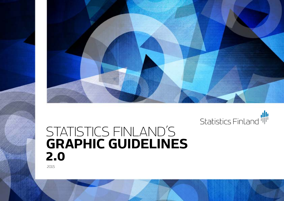



# STATISTICS FINLAND´S **GRAPHIC GUIDELINES 2.0**

2015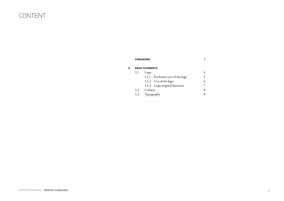### CONTENT

| <b>FOREWORD</b> | ◠<br>◡ |
|-----------------|--------|
|                 |        |
|                 |        |

| <b>BASIC ELEMENTS</b> |            |                                  |   |
|-----------------------|------------|----------------------------------|---|
| 1.1                   | Logo       |                                  |   |
|                       |            | 1.1.1 Exclusion area of the logo |   |
|                       |            | 1.1.2 Use of the logo            | 6 |
|                       |            | 1.1.3 Logo original directory    |   |
| 1.2                   | Colours    |                                  | 8 |
| 1.3                   | Typography |                                  |   |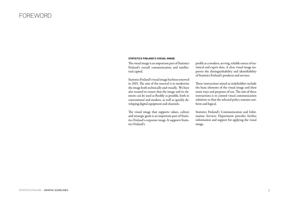#### FOREWORD

#### **STATISTICS FINLAND'S VISUAL IMAGE**

The visual image is an important part of Statistics Finland's overall communication and intellectual capital.

Statistics Finland's visual image has been renewed in 2015. The aim of the renewal is to modernise the image both technically and visually. We have also wanted to ensure that the image and its elements can be used as flexibly as possible, both in conventional and modern, as well as quickly developing digital equipment and channels.

The visual image that supports values, culture and strategic goals is an important part of Statistics Finland's corporate image. It supports Statistics Finland's

profile as a modern, serving, reliable source of statistical and expert data. A clear visual image improves the distinguishability and identifiability of Statistics Finland's products and services.

These instructions aimed at stakeholders include the basic elements of the visual image and their main ways and purposes of use. The aim of these instructions is to control visual communication solutions so that the selected policy remains uniform and logical.

Statistics Finland's Communication and Information Services Department provides further information and support for applying the visual image.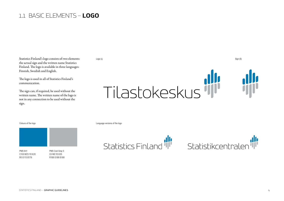### 1.1 BASIC ELEMENTS – **LOGO**

Statistics Finland's logo consists of two elements: the actual sign and the written name Statistics Finland. The logo is available in three languages: Finnish, Swedish and English.

The logo is used in all of Statistics Finland's communication.

The sign can, if required, be used without the written name. The written name of the logo is not in any connection to be used without the sign.



PMS 641 C100 M25 Y0 K20 R0 G115 B176

PMS Cool Gray 5 C0 M0 Y0 K35 R188 G188 B188

Colours of the logo Language versions of the logo Language versions of the logo





Logo (L) Sign (S)

STATISTICS FINLAND – GRAPHIC GUIDELINES 4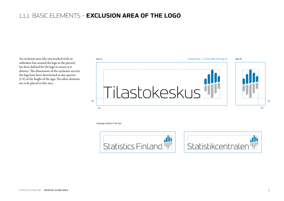### 1.1.1 BASIC ELEMENTS – **exclusion area of the logo**

An exclusion area (the area marked with an unbroken line around the logo in the picture) has been defined for the logo to ensure it is distinct. The dimensions of the exclusion area for the logo have been determined as one-quarter (1/4) of the height of the sign. No other elements are to be placed in this area.



Language versions of the logo



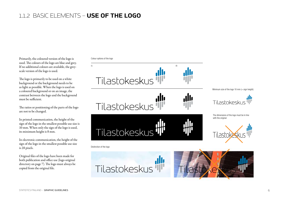### 1.1.2 BASIC ELEMENTS – **use of the logo**

Primarily, the coloured version of the logo is used. The colours of the logo are blue and grey. If no additional colours are available, the greyscale version of the logo is used.

The logo is primarily to be used on a white background or the background needs to be as light as possible. When the logo is used on a coloured background or on an image, the contrast between the logo and the background must be sufficient.

The ratios or positioning of the parts of the logo are not to be changed.

In printed communication, the height of the sign of the logo in the smallest possible use size is 10 mm. When only the sign of the logo is used, its minimum height is 8 mm.

In electronic communication, the height of the sign of the logo in the smallest possible use size is 28 pixels.

Original files of the logo have been made for both publication and office use (logo original directory on page 7). The logo must always be copied from the original file.

Colour options of the logo

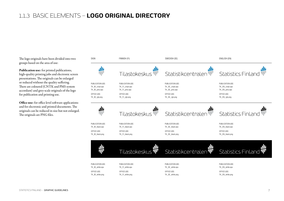#### 1.1.3 BASIC ELEMENTS – **LOGO ORIGINAL DIRECTORY**

The logo originals have been divided into two groups based on the area of use:

Publication use: for printed publications, high-quality printing jobs and electronic screen presentations. The originals can be enlarged or reduced without the quality suffering. There are coloured (CNTK and PMS system accordant) and grey-scale originals of the logo for publication and printing use.

Office use: for office level software applications and for electronic and printed documents. The originals can be reduced in size but not enlarged. The originals are PNG files.

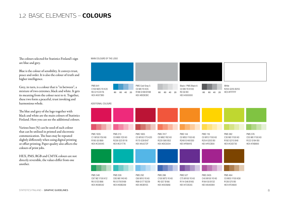#### 1.2 BASIC ELEMENTS – **COLOURS**

The colours selected for Statistics Finland's sign are blue and grey.

Blue is the colour of sensibility. It conveys trust, peace and order. It is also the colour of truth and higher intelligence.

Grey, in turn, is a colour that is "in between", a mixture of two extremes, black and white. It gets its meaning from the colour next to it. Together, these two form a peaceful, trust invoking and harmonious whole.

The blue and grey of the logo together with black and white are the main colours of Statistics Finland. Here you can see the additional colours.

Various hues (%) can be used of each colour that can be utilised in printed and electronic communication. The hues may be repeated slightly differently when using digital printing or offset printing. Paper quality also affects the colours of print jobs.

HEX, PMS, RGB and CMYK colours are not directly reversible, the values differ from one another.

#### MAIN COLOURS OF THE LOGO